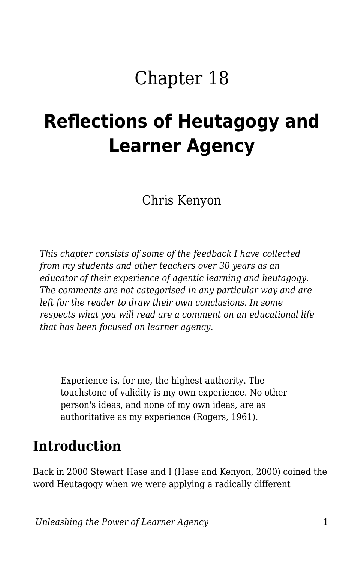# Chapter 18

# **Reflections of Heutagogy and Learner Agency**

Chris Kenyon

*This chapter consists of some of the feedback I have collected from my students and other teachers over 30 years as an educator of their experience of agentic learning and heutagogy. The comments are not categorised in any particular way and are left for the reader to draw their own conclusions. In some respects what you will read are a comment on an educational life that has been focused on learner agency.*

Experience is, for me, the highest authority. The touchstone of validity is my own experience. No other person's ideas, and none of my own ideas, are as authoritative as my experience (Rogers, 1961).

### **Introduction**

Back in 2000 Stewart Hase and I (Hase and Kenyon, 2000) coined the word Heutagogy when we were applying a radically different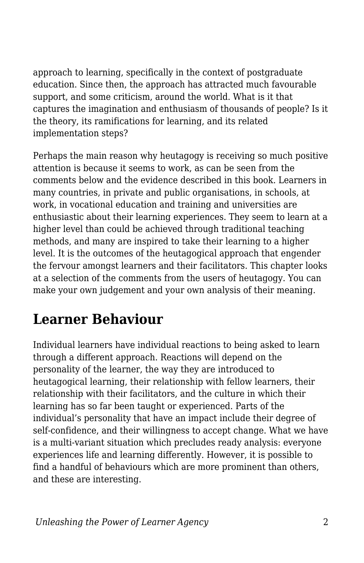approach to learning, specifically in the context of postgraduate education. Since then, the approach has attracted much favourable support, and some criticism, around the world. What is it that captures the imagination and enthusiasm of thousands of people? Is it the theory, its ramifications for learning, and its related implementation steps?

Perhaps the main reason why heutagogy is receiving so much positive attention is because it seems to work, as can be seen from the comments below and the evidence described in this book. Learners in many countries, in private and public organisations, in schools, at work, in vocational education and training and universities are enthusiastic about their learning experiences. They seem to learn at a higher level than could be achieved through traditional teaching methods, and many are inspired to take their learning to a higher level. It is the outcomes of the heutagogical approach that engender the fervour amongst learners and their facilitators. This chapter looks at a selection of the comments from the users of heutagogy. You can make your own judgement and your own analysis of their meaning.

## **Learner Behaviour**

Individual learners have individual reactions to being asked to learn through a different approach. Reactions will depend on the personality of the learner, the way they are introduced to heutagogical learning, their relationship with fellow learners, their relationship with their facilitators, and the culture in which their learning has so far been taught or experienced. Parts of the individual's personality that have an impact include their degree of self-confidence, and their willingness to accept change. What we have is a multi-variant situation which precludes ready analysis: everyone experiences life and learning differently. However, it is possible to find a handful of behaviours which are more prominent than others, and these are interesting.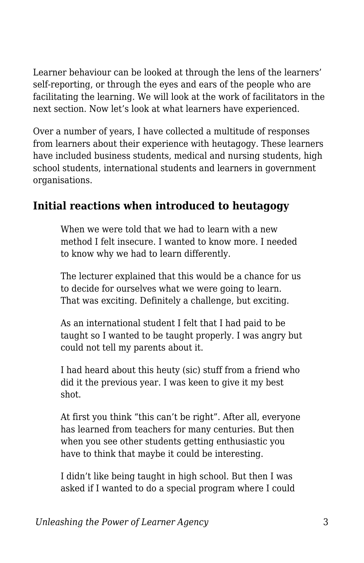Learner behaviour can be looked at through the lens of the learners' self-reporting, or through the eyes and ears of the people who are facilitating the learning. We will look at the work of facilitators in the next section. Now let's look at what learners have experienced.

Over a number of years, I have collected a multitude of responses from learners about their experience with heutagogy. These learners have included business students, medical and nursing students, high school students, international students and learners in government organisations.

#### **Initial reactions when introduced to heutagogy**

When we were told that we had to learn with a new method I felt insecure. I wanted to know more. I needed to know why we had to learn differently.

The lecturer explained that this would be a chance for us to decide for ourselves what we were going to learn. That was exciting. Definitely a challenge, but exciting.

As an international student I felt that I had paid to be taught so I wanted to be taught properly. I was angry but could not tell my parents about it.

I had heard about this heuty (sic) stuff from a friend who did it the previous year. I was keen to give it my best shot.

At first you think "this can't be right". After all, everyone has learned from teachers for many centuries. But then when you see other students getting enthusiastic you have to think that maybe it could be interesting.

I didn't like being taught in high school. But then I was asked if I wanted to do a special program where I could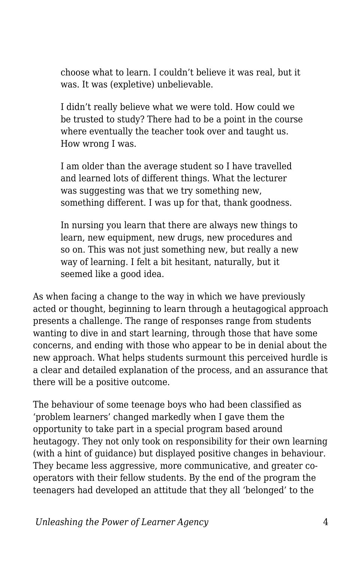choose what to learn. I couldn't believe it was real, but it was. It was (expletive) unbelievable.

I didn't really believe what we were told. How could we be trusted to study? There had to be a point in the course where eventually the teacher took over and taught us. How wrong I was.

I am older than the average student so I have travelled and learned lots of different things. What the lecturer was suggesting was that we try something new, something different. I was up for that, thank goodness.

In nursing you learn that there are always new things to learn, new equipment, new drugs, new procedures and so on. This was not just something new, but really a new way of learning. I felt a bit hesitant, naturally, but it seemed like a good idea.

As when facing a change to the way in which we have previously acted or thought, beginning to learn through a heutagogical approach presents a challenge. The range of responses range from students wanting to dive in and start learning, through those that have some concerns, and ending with those who appear to be in denial about the new approach. What helps students surmount this perceived hurdle is a clear and detailed explanation of the process, and an assurance that there will be a positive outcome.

The behaviour of some teenage boys who had been classified as 'problem learners' changed markedly when I gave them the opportunity to take part in a special program based around heutagogy. They not only took on responsibility for their own learning (with a hint of guidance) but displayed positive changes in behaviour. They became less aggressive, more communicative, and greater cooperators with their fellow students. By the end of the program the teenagers had developed an attitude that they all 'belonged' to the

*Unleashing the Power of Learner Agency* 4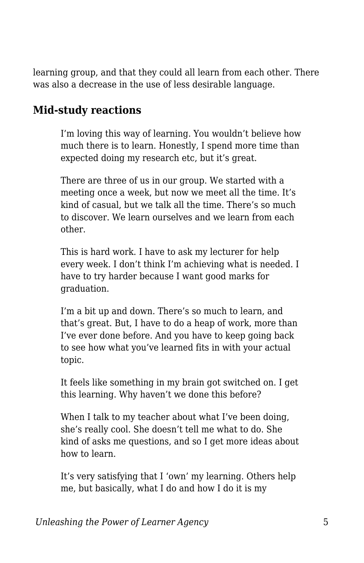learning group, and that they could all learn from each other. There was also a decrease in the use of less desirable language.

#### **Mid-study reactions**

I'm loving this way of learning. You wouldn't believe how much there is to learn. Honestly, I spend more time than expected doing my research etc, but it's great.

There are three of us in our group. We started with a meeting once a week, but now we meet all the time. It's kind of casual, but we talk all the time. There's so much to discover. We learn ourselves and we learn from each other.

This is hard work. I have to ask my lecturer for help every week. I don't think I'm achieving what is needed. I have to try harder because I want good marks for graduation.

I'm a bit up and down. There's so much to learn, and that's great. But, I have to do a heap of work, more than I've ever done before. And you have to keep going back to see how what you've learned fits in with your actual topic.

It feels like something in my brain got switched on. I get this learning. Why haven't we done this before?

When I talk to my teacher about what I've been doing, she's really cool. She doesn't tell me what to do. She kind of asks me questions, and so I get more ideas about how to learn.

It's very satisfying that I 'own' my learning. Others help me, but basically, what I do and how I do it is my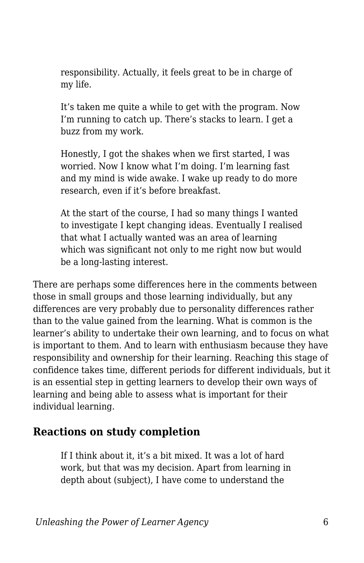responsibility. Actually, it feels great to be in charge of my life.

It's taken me quite a while to get with the program. Now I'm running to catch up. There's stacks to learn. I get a buzz from my work.

Honestly, I got the shakes when we first started, I was worried. Now I know what I'm doing. I'm learning fast and my mind is wide awake. I wake up ready to do more research, even if it's before breakfast.

At the start of the course, I had so many things I wanted to investigate I kept changing ideas. Eventually I realised that what I actually wanted was an area of learning which was significant not only to me right now but would be a long-lasting interest.

There are perhaps some differences here in the comments between those in small groups and those learning individually, but any differences are very probably due to personality differences rather than to the value gained from the learning. What is common is the learner's ability to undertake their own learning, and to focus on what is important to them. And to learn with enthusiasm because they have responsibility and ownership for their learning. Reaching this stage of confidence takes time, different periods for different individuals, but it is an essential step in getting learners to develop their own ways of learning and being able to assess what is important for their individual learning.

#### **Reactions on study completion**

If I think about it, it's a bit mixed. It was a lot of hard work, but that was my decision. Apart from learning in depth about (subject), I have come to understand the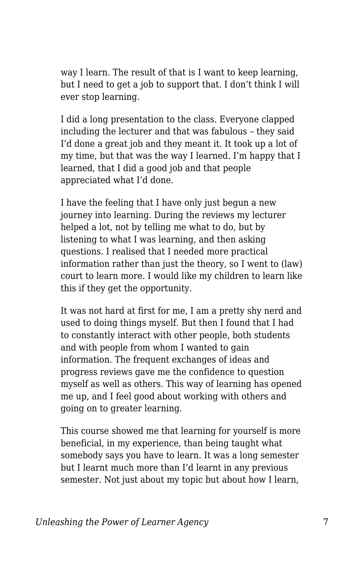way I learn. The result of that is I want to keep learning, but I need to get a job to support that. I don't think I will ever stop learning.

I did a long presentation to the class. Everyone clapped including the lecturer and that was fabulous – they said I'd done a great job and they meant it. It took up a lot of my time, but that was the way I learned. I'm happy that I learned, that I did a good job and that people appreciated what I'd done.

I have the feeling that I have only just begun a new journey into learning. During the reviews my lecturer helped a lot, not by telling me what to do, but by listening to what I was learning, and then asking questions. I realised that I needed more practical information rather than just the theory, so I went to (law) court to learn more. I would like my children to learn like this if they get the opportunity.

It was not hard at first for me, I am a pretty shy nerd and used to doing things myself. But then I found that I had to constantly interact with other people, both students and with people from whom I wanted to gain information. The frequent exchanges of ideas and progress reviews gave me the confidence to question myself as well as others. This way of learning has opened me up, and I feel good about working with others and going on to greater learning.

This course showed me that learning for yourself is more beneficial, in my experience, than being taught what somebody says you have to learn. It was a long semester but I learnt much more than I'd learnt in any previous semester. Not just about my topic but about how I learn,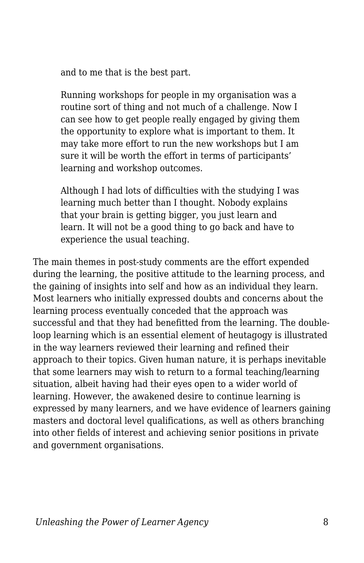and to me that is the best part.

Running workshops for people in my organisation was a routine sort of thing and not much of a challenge. Now I can see how to get people really engaged by giving them the opportunity to explore what is important to them. It may take more effort to run the new workshops but I am sure it will be worth the effort in terms of participants' learning and workshop outcomes.

Although I had lots of difficulties with the studying I was learning much better than I thought. Nobody explains that your brain is getting bigger, you just learn and learn. It will not be a good thing to go back and have to experience the usual teaching.

The main themes in post-study comments are the effort expended during the learning, the positive attitude to the learning process, and the gaining of insights into self and how as an individual they learn. Most learners who initially expressed doubts and concerns about the learning process eventually conceded that the approach was successful and that they had benefitted from the learning. The doubleloop learning which is an essential element of heutagogy is illustrated in the way learners reviewed their learning and refined their approach to their topics. Given human nature, it is perhaps inevitable that some learners may wish to return to a formal teaching/learning situation, albeit having had their eyes open to a wider world of learning. However, the awakened desire to continue learning is expressed by many learners, and we have evidence of learners gaining masters and doctoral level qualifications, as well as others branching into other fields of interest and achieving senior positions in private and government organisations.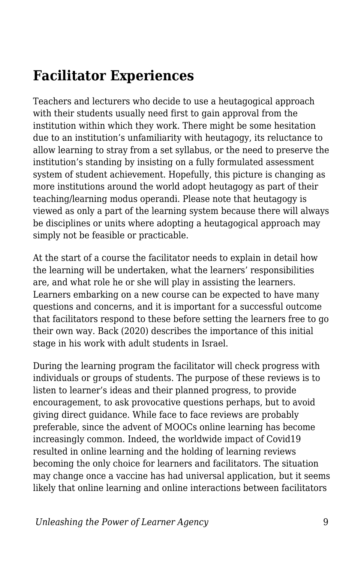## **Facilitator Experiences**

Teachers and lecturers who decide to use a heutagogical approach with their students usually need first to gain approval from the institution within which they work. There might be some hesitation due to an institution's unfamiliarity with heutagogy, its reluctance to allow learning to stray from a set syllabus, or the need to preserve the institution's standing by insisting on a fully formulated assessment system of student achievement. Hopefully, this picture is changing as more institutions around the world adopt heutagogy as part of their teaching/learning modus operandi. Please note that heutagogy is viewed as only a part of the learning system because there will always be disciplines or units where adopting a heutagogical approach may simply not be feasible or practicable.

At the start of a course the facilitator needs to explain in detail how the learning will be undertaken, what the learners' responsibilities are, and what role he or she will play in assisting the learners. Learners embarking on a new course can be expected to have many questions and concerns, and it is important for a successful outcome that facilitators respond to these before setting the learners free to go their own way. Back (2020) describes the importance of this initial stage in his work with adult students in Israel.

During the learning program the facilitator will check progress with individuals or groups of students. The purpose of these reviews is to listen to learner's ideas and their planned progress, to provide encouragement, to ask provocative questions perhaps, but to avoid giving direct guidance. While face to face reviews are probably preferable, since the advent of MOOCs online learning has become increasingly common. Indeed, the worldwide impact of Covid19 resulted in online learning and the holding of learning reviews becoming the only choice for learners and facilitators. The situation may change once a vaccine has had universal application, but it seems likely that online learning and online interactions between facilitators

*Unleashing the Power of Learner Agency* 9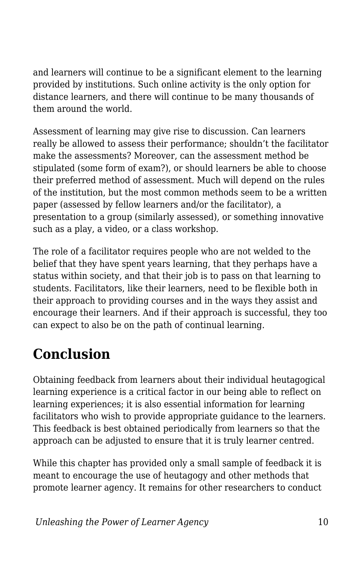and learners will continue to be a significant element to the learning provided by institutions. Such online activity is the only option for distance learners, and there will continue to be many thousands of them around the world.

Assessment of learning may give rise to discussion. Can learners really be allowed to assess their performance; shouldn't the facilitator make the assessments? Moreover, can the assessment method be stipulated (some form of exam?), or should learners be able to choose their preferred method of assessment. Much will depend on the rules of the institution, but the most common methods seem to be a written paper (assessed by fellow learners and/or the facilitator), a presentation to a group (similarly assessed), or something innovative such as a play, a video, or a class workshop.

The role of a facilitator requires people who are not welded to the belief that they have spent years learning, that they perhaps have a status within society, and that their job is to pass on that learning to students. Facilitators, like their learners, need to be flexible both in their approach to providing courses and in the ways they assist and encourage their learners. And if their approach is successful, they too can expect to also be on the path of continual learning.

# **Conclusion**

Obtaining feedback from learners about their individual heutagogical learning experience is a critical factor in our being able to reflect on learning experiences; it is also essential information for learning facilitators who wish to provide appropriate guidance to the learners. This feedback is best obtained periodically from learners so that the approach can be adjusted to ensure that it is truly learner centred.

While this chapter has provided only a small sample of feedback it is meant to encourage the use of heutagogy and other methods that promote learner agency. It remains for other researchers to conduct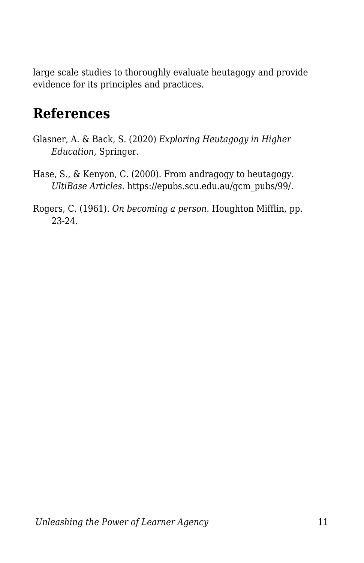large scale studies to thoroughly evaluate heutagogy and provide evidence for its principles and practices.

### **References**

- Glasner, A. & Back, S. (2020) *Exploring Heutagogy in Higher Education,* Springer.
- Hase, S., & Kenyon, C. (2000). From andragogy to heutagogy. *UltiBase Articles*. https://epubs.scu.edu.au/gcm\_pubs/99/.
- Rogers, C. (1961). *On becoming a person.* Houghton Mifflin, pp. 23-24.